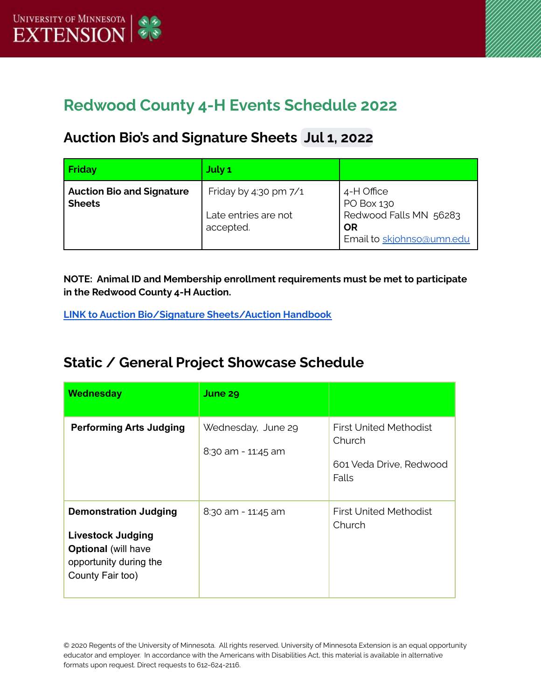

# **Redwood County 4-H Events Schedule 2022**

## **Auction Bio's and Signature Sheets Jul 1, 2022**

| Friday                                            | July 1                                                     |                                                                                       |
|---------------------------------------------------|------------------------------------------------------------|---------------------------------------------------------------------------------------|
| <b>Auction Bio and Signature</b><br><b>Sheets</b> | Friday by 4:30 pm 7/1<br>Late entries are not<br>accepted. | 4-H Office<br>PO Box 130<br>Redwood Falls MN 56283<br>OR<br>Email to skjohnso@umn.edu |

**NOTE: Animal ID and Membership enrollment requirements must be met to participate in the Redwood County 4-H Auction.**

**LINK to Auction Bio/Signature [Sheets/Auction](https://docs.google.com/document/d/1iZ9D4HBat8cR2xWPWntGB5gP5B_DhNqsYzJqUBnwSRI/edit?usp=sharing) Handbook**

## **Static / General Project Showcase Schedule**

| <b>Wednesday</b>                                                                                                                     | June 29                                  |                                                                             |
|--------------------------------------------------------------------------------------------------------------------------------------|------------------------------------------|-----------------------------------------------------------------------------|
| <b>Performing Arts Judging</b>                                                                                                       | Wednesday, June 29<br>8:30 am - 11:45 am | <b>First United Methodist</b><br>Church<br>601 Veda Drive, Redwood<br>Falls |
| <b>Demonstration Judging</b><br><b>Livestock Judging</b><br><b>Optional</b> (will have<br>opportunity during the<br>County Fair too) | $8:30$ am - 11:45 am                     | First United Methodist<br>Church                                            |

© 2020 Regents of the University of Minnesota. All rights reserved. University of Minnesota Extension is an equal opportunity educator and employer. In accordance with the Americans with Disabilities Act, this material is available in alternative formats upon request. Direct requests to 612-624-2116.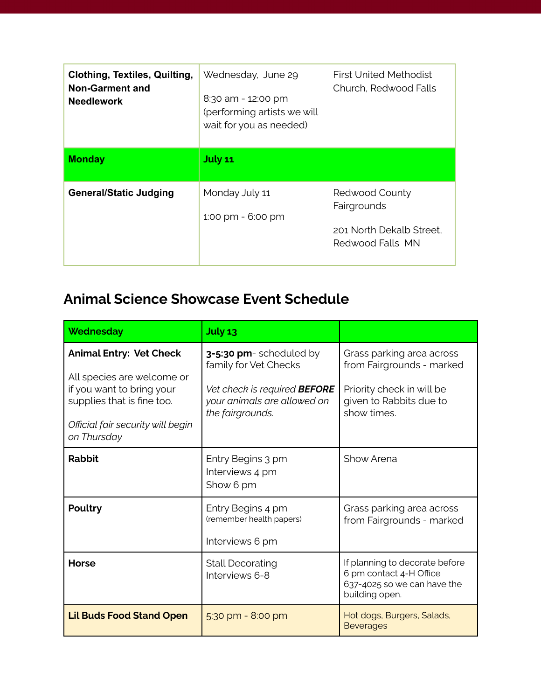| <b>Clothing, Textiles, Quilting,</b><br>Non-Garment and<br><b>Needlework</b> | Wednesday, June 29<br>8:30 am - 12:00 pm<br>(performing artists we will<br>wait for you as needed) | <b>First United Methodist</b><br>Church, Redwood Falls                        |
|------------------------------------------------------------------------------|----------------------------------------------------------------------------------------------------|-------------------------------------------------------------------------------|
| <b>Monday</b>                                                                | <b>July 11</b>                                                                                     |                                                                               |
| <b>General/Static Judging</b>                                                | Monday July 11<br>1:00 pm - 6:00 pm                                                                | Redwood County<br>Fairgrounds<br>201 North Dekalb Street.<br>Redwood Falls MN |

## **Animal Science Showcase Event Schedule**

| <b>Wednesday</b>                                                                                                                                                            | July 13                                                                                                                                    |                                                                                                                               |
|-----------------------------------------------------------------------------------------------------------------------------------------------------------------------------|--------------------------------------------------------------------------------------------------------------------------------------------|-------------------------------------------------------------------------------------------------------------------------------|
| <b>Animal Entry: Vet Check</b><br>All species are welcome or<br>if you want to bring your<br>supplies that is fine too.<br>Official fair security will begin<br>on Thursday | 3-5:30 pm- scheduled by<br>family for Vet Checks<br>Vet check is required <b>BEFORE</b><br>your animals are allowed on<br>the fairgrounds. | Grass parking area across<br>from Fairgrounds - marked<br>Priority check in will be<br>given to Rabbits due to<br>show times. |
| <b>Rabbit</b>                                                                                                                                                               | Entry Begins 3 pm<br>Interviews 4 pm<br>Show 6 pm                                                                                          | Show Arena                                                                                                                    |
| Poultry                                                                                                                                                                     | Entry Begins 4 pm<br>(remember health papers)<br>Interviews 6 pm                                                                           | Grass parking area across<br>from Fairgrounds - marked                                                                        |
| <b>Horse</b>                                                                                                                                                                | <b>Stall Decorating</b><br>Interviews 6-8                                                                                                  | If planning to decorate before<br>6 pm contact 4-H Office<br>637-4025 so we can have the<br>building open.                    |
| <b>Lil Buds Food Stand Open</b>                                                                                                                                             | $5:30$ pm - $8:00$ pm                                                                                                                      | Hot dogs, Burgers, Salads,<br><b>Beverages</b>                                                                                |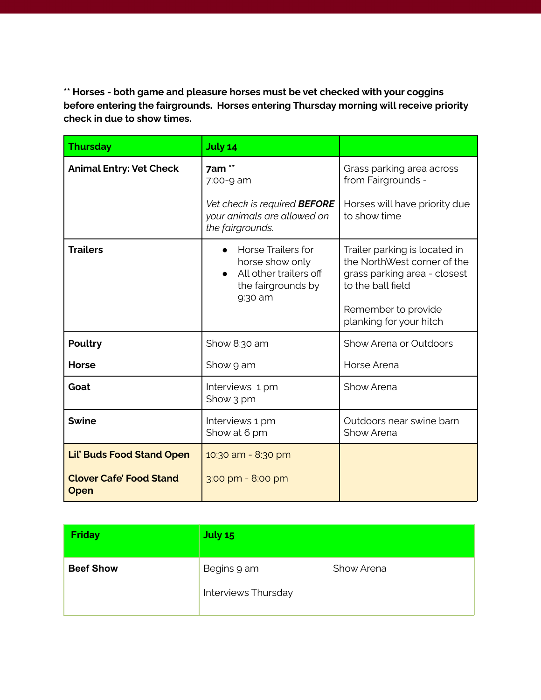**\*\* Horses - both game and pleasure horses must be vet checked with your coggins before entering the fairgrounds. Horses entering Thursday morning will receive priority check in due to show times.**

| <b>Thursday</b>                        | July 14                                                                                                 |                                                                                                                                          |
|----------------------------------------|---------------------------------------------------------------------------------------------------------|------------------------------------------------------------------------------------------------------------------------------------------|
| <b>Animal Entry: Vet Check</b>         | 7am **<br>7:00-9 am                                                                                     | Grass parking area across<br>from Fairgrounds -                                                                                          |
|                                        | Vet check is required <b>BEFORE</b><br>your animals are allowed on<br>the fairgrounds.                  | Horses will have priority due<br>to show time                                                                                            |
| <b>Trailers</b>                        | <b>Horse Trailers for</b><br>horse show only<br>All other trailers off<br>the fairgrounds by<br>9:30 am | Trailer parking is located in<br>the NorthWest corner of the<br>grass parking area - closest<br>to the ball field<br>Remember to provide |
|                                        |                                                                                                         | planking for your hitch                                                                                                                  |
| <b>Poultry</b>                         | Show 8:30 am                                                                                            | Show Arena or Outdoors                                                                                                                   |
| <b>Horse</b>                           | Show 9 am                                                                                               | Horse Arena                                                                                                                              |
| Goat                                   | Interviews 1 pm<br>Show 3 pm                                                                            | Show Arena                                                                                                                               |
| <b>Swine</b>                           | Interviews 1 pm<br>Show at 6 pm                                                                         | Outdoors near swine barn<br>Show Arena                                                                                                   |
| <b>Lil' Buds Food Stand Open</b>       | 10:30 am - 8:30 pm                                                                                      |                                                                                                                                          |
| <b>Clover Cafe' Food Stand</b><br>Open | 3:00 pm - 8:00 pm                                                                                       |                                                                                                                                          |

| <b>Friday</b>    | <b>July 15</b>                     |            |
|------------------|------------------------------------|------------|
| <b>Beef Show</b> | Begins 9 am<br>Interviews Thursday | Show Arena |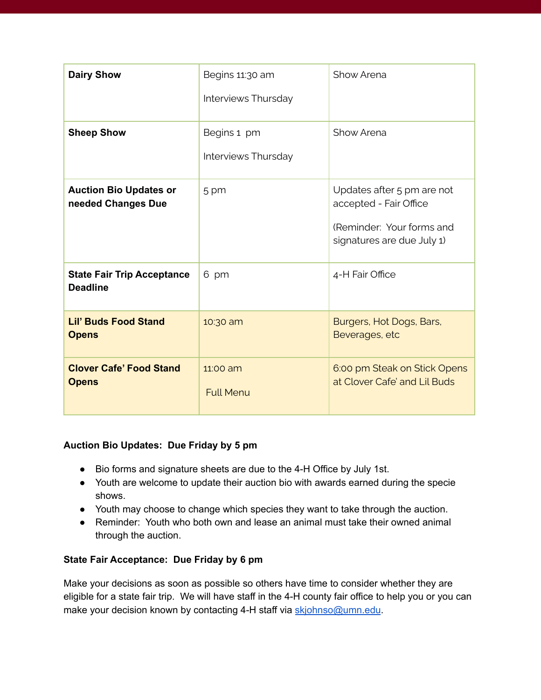| <b>Dairy Show</b>                                    | Begins 11:30 am<br>Interviews Thursday | Show Arena                                                                                                      |
|------------------------------------------------------|----------------------------------------|-----------------------------------------------------------------------------------------------------------------|
| <b>Sheep Show</b>                                    | Begins 1 pm<br>Interviews Thursday     | Show Arena                                                                                                      |
| <b>Auction Bio Updates or</b><br>needed Changes Due  | 5 pm                                   | Updates after 5 pm are not<br>accepted - Fair Office<br>(Reminder: Your forms and<br>signatures are due July 1) |
| <b>State Fair Trip Acceptance</b><br><b>Deadline</b> | 6 pm                                   | 4-H Fair Office                                                                                                 |
| <b>Lil' Buds Food Stand</b><br><b>Opens</b>          | 10:30 am                               | Burgers, Hot Dogs, Bars,<br>Beverages, etc                                                                      |
| <b>Clover Cafe' Food Stand</b><br><b>Opens</b>       | 11:00 am<br><b>Full Menu</b>           | 6:00 pm Steak on Stick Opens<br>at Clover Cafe' and Lil Buds                                                    |

### **Auction Bio Updates: Due Friday by 5 pm**

- Bio forms and signature sheets are due to the 4-H Office by July 1st.
- Youth are welcome to update their auction bio with awards earned during the specie shows.
- Youth may choose to change which species they want to take through the auction.
- Reminder: Youth who both own and lease an animal must take their owned animal through the auction.

### **State Fair Acceptance: Due Friday by 6 pm**

Make your decisions as soon as possible so others have time to consider whether they are eligible for a state fair trip. We will have staff in the 4-H county fair office to help you or you can make your decision known by contacting 4-H staff via [skjohnso@umn.edu](mailto:skjohnso@umn.edu).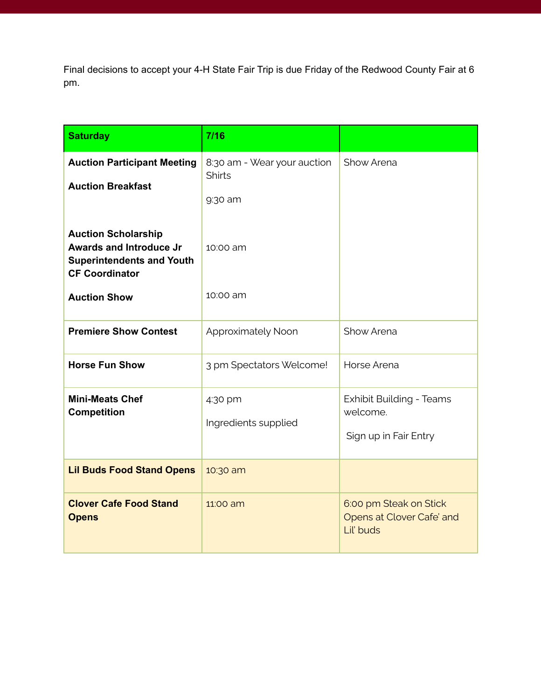Final decisions to accept your 4-H State Fair Trip is due Friday of the Redwood County Fair at 6 pm.

| <b>Saturday</b>                                                                                                           | 7/16                                                    |                                                                      |
|---------------------------------------------------------------------------------------------------------------------------|---------------------------------------------------------|----------------------------------------------------------------------|
| <b>Auction Participant Meeting</b><br><b>Auction Breakfast</b>                                                            | 8:30 am - Wear your auction<br><b>Shirts</b><br>9:30 am | Show Arena                                                           |
| <b>Auction Scholarship</b><br><b>Awards and Introduce Jr</b><br><b>Superintendents and Youth</b><br><b>CF Coordinator</b> | 10:00 am                                                |                                                                      |
| <b>Auction Show</b>                                                                                                       | 10:00 am                                                |                                                                      |
| <b>Premiere Show Contest</b>                                                                                              | Approximately Noon                                      | Show Arena                                                           |
| <b>Horse Fun Show</b>                                                                                                     | 3 pm Spectators Welcome!                                | Horse Arena                                                          |
| <b>Mini-Meats Chef</b><br><b>Competition</b>                                                                              | 4:30 pm<br>Ingredients supplied                         | <b>Exhibit Building - Teams</b><br>welcome.<br>Sign up in Fair Entry |
| <b>Lil Buds Food Stand Opens</b>                                                                                          | 10:30 am                                                |                                                                      |
| <b>Clover Cafe Food Stand</b><br><b>Opens</b>                                                                             | 11:00 am                                                | 6:00 pm Steak on Stick<br>Opens at Clover Cafe' and<br>Lil' buds     |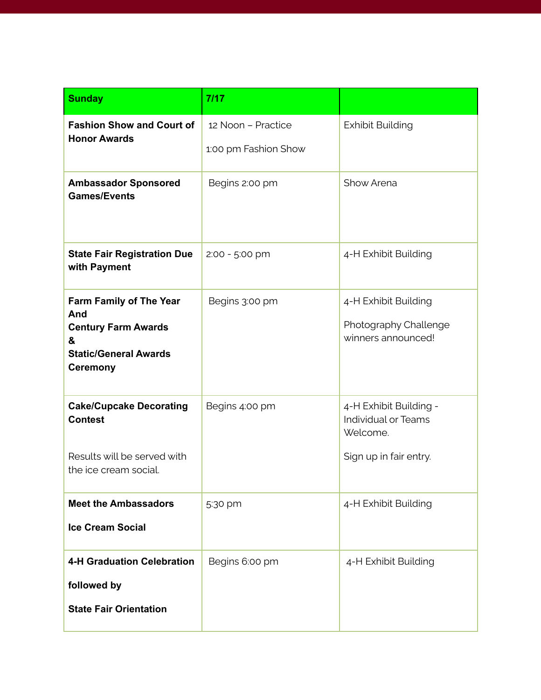| <b>Sunday</b>                                                                                                        | 7/17                                       |                                                                                            |
|----------------------------------------------------------------------------------------------------------------------|--------------------------------------------|--------------------------------------------------------------------------------------------|
| <b>Fashion Show and Court of</b><br><b>Honor Awards</b>                                                              | 12 Noon - Practice<br>1:00 pm Fashion Show | <b>Exhibit Building</b>                                                                    |
| <b>Ambassador Sponsored</b><br><b>Games/Events</b>                                                                   | Begins 2:00 pm                             | Show Arena                                                                                 |
| <b>State Fair Registration Due</b><br>with Payment                                                                   | 2:00 - 5:00 pm                             | 4-H Exhibit Building                                                                       |
| Farm Family of The Year<br>And<br><b>Century Farm Awards</b><br>&<br><b>Static/General Awards</b><br><b>Ceremony</b> | Begins 3:00 pm                             | 4-H Exhibit Building<br>Photography Challenge<br>winners announced!                        |
| <b>Cake/Cupcake Decorating</b><br><b>Contest</b><br>Results will be served with<br>the ice cream social.             | Begins 4:00 pm                             | 4-H Exhibit Building -<br><b>Individual or Teams</b><br>Welcome.<br>Sign up in fair entry. |
| <b>Meet the Ambassadors</b><br><b>Ice Cream Social</b>                                                               | 5:30 pm                                    | 4-H Exhibit Building                                                                       |
| <b>4-H Graduation Celebration</b><br>followed by<br><b>State Fair Orientation</b>                                    | Begins 6:00 pm                             | 4-H Exhibit Building                                                                       |